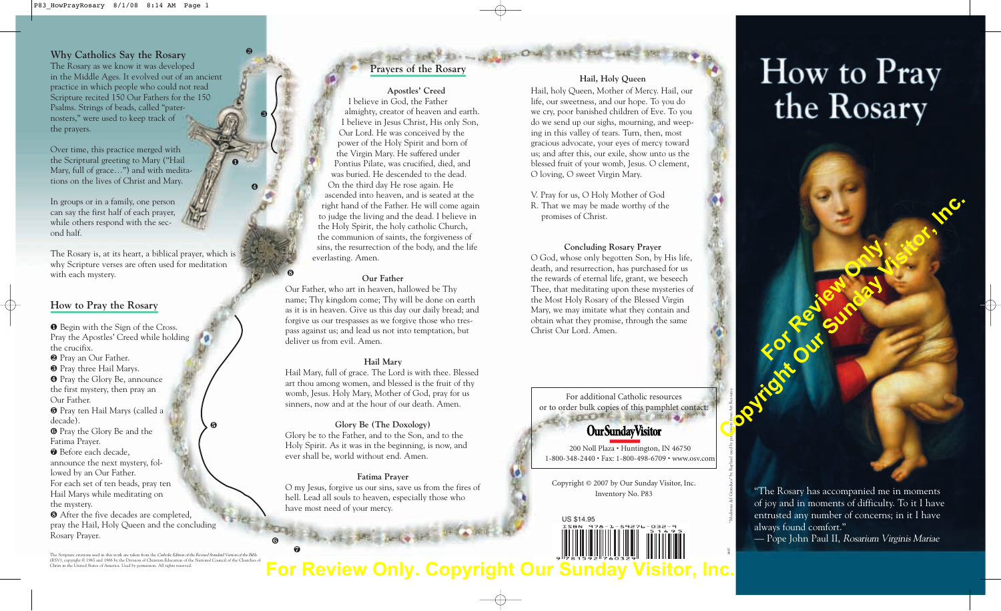**Why Catholics Say the Rosary** The Rosary as we know it was developed in the Middle Ages. It evolved out of an ancient practice in which people who could not read Scripture recited 150 Our Fathers for the 150 Psalms. Strings of beads, called "paternosters," were used to keep track of the prayers.

Over time, this practice merged with the Scriptural greeting to Mary ("Hail Mary, full of grace…") and with meditations on the lives of Christ and Mary.

In groups or in a family, one person can say the first half of each prayer, while others respond with the second half.

The Rosary is, at its heart, a biblical prayer, which is why Scripture verses are often used for meditation with each mystery.

❶

❺

❻

❼

❷

❸

❹

❽

#### **How to Pray the Rosary**

❶ Begin with the Sign of the Cross. Pray the Apostles' Creed while holding the crucifix.

❷ Pray an Our Father.

❸ Pray three Hail Marys.

❹ Pray the Glory Be, announce

the first mystery, then pray an Our Father.

❺ Pray ten Hail Marys (called a decade).

❻ Pray the Glory Be and the Fatima Prayer.

❼ Before each decade,

announce the next mystery, fol-

lowed by an Our Father.

For each set of ten beads, pray ten Hail Marys while meditating on the mystery.

❽ After the five decades are completed, pray the Hail, Holy Queen and the concluding Rosary Prayer.

The Scripture citations used in this work are taken from the Catholic Edition of the Revised Standard Version of the Bible (RSV), copyright © 1965 and 1966 by the Division of Christian Education of the National Council of the Churches of Christ in the United States of America. Used by permission. All rights reserved.

# **Prayers of the Rosary**

**Apostles' Creed** I believe in God, the Father almighty, creator of heaven and earth. I believe in Jesus Christ, His only Son, Our Lord. He was conceived by the power of the Holy Spirit and born of the Virgin Mary. He suffered under Pontius Pilate, was crucified, died, and was buried. He descended to the dead. On the third day He rose again. He ascended into heaven, and is seated at the right hand of the Father. He will come again to judge the living and the dead. I believe in the Holy Spirit, the holy catholic Church, the communion of saints, the forgiveness of sins, the resurrection of the body, and the life everlasting. Amen.

#### **Our Father**

Our Father, who art in heaven, hallowed be Thy name; Thy kingdom come; Thy will be done on earth as it is in heaven. Give us this day our daily bread; and forgive us our trespasses as we forgive those who trespass against us; and lead us not into temptation, but deliver us from evil. Amen.

#### **Hail Mary**

Hail Mary, full of grace. The Lord is with thee. Blessed art thou among women, and blessed is the fruit of thy womb, Jesus. Holy Mary, Mother of God, pray for us sinners, now and at the hour of our death. Amen.

#### **Glory Be (The Doxology)**

Glory be to the Father, and to the Son, and to the Holy Spirit. As it was in the beginning, is now, and ever shall be, world without end. Amen.

#### **Fatima Prayer**

O my Jesus, forgive us our sins, save us from the fires of hell. Lead all souls to heaven, especially those who have most need of your mercy.

#### **Hail, Holy Queen**

Hail, holy Queen, Mother of Mercy. Hail, our life, our sweetness, and our hope. To you do we cry, poor banished children of Eve. To you do we send up our sighs, mourning, and weeping in this valley of tears. Turn, then, most gracious advocate, your eyes of mercy toward us; and after this, our exile, show unto us the blessed fruit of your womb, Jesus. O clement, O loving, O sweet Virgin Mary.

V. Pray for us, O Holy Mother of God R. That we may be made worthy of the promises of Christ.

O God, whose only begotten Son, by His life, death, and resurrection, has purchased for us the rewards of eternal life, grant, we beseech Thee, that meditating upon these mysteries of the Most Holy Rosary of the Blessed Virgin Mary, we may imitate what they contain and obtain what they promise, through the same Christ Our Lord. Amen.

For additional Catholic resources or to order bulk copies of this pamphlet contact:

## **OurSundayVisitor**

200 Noll Plaza • Huntington, IN 46750 1-800-348-2440 • Fax: 1-800-498-6709 • www.osv.com

Copyright © 2007 by Our Sunday Visitor, Inc. Inventory No. P83

US \$14.95

# How to Pray<br>the Rosary

"Madonna del Granduca" by Raphael used by permission from Art Resource

0807

### **Concluding Rosary Prayer**

"The Rosary has accompanied me in moments of joy and in moments of difficulty. To it I have entrusted any number of concerns; in it I have always found comfort." — Pope John Paul II, Rosarium Virginis Mariae

**For Review Only.** 

Contraction of the Contraction of the Contraction of the Contraction of the Contraction of the Contraction of the Contraction of the Contraction of the Contraction of the Contraction of the Contraction of the Contraction o

**For Review Only. Copy**